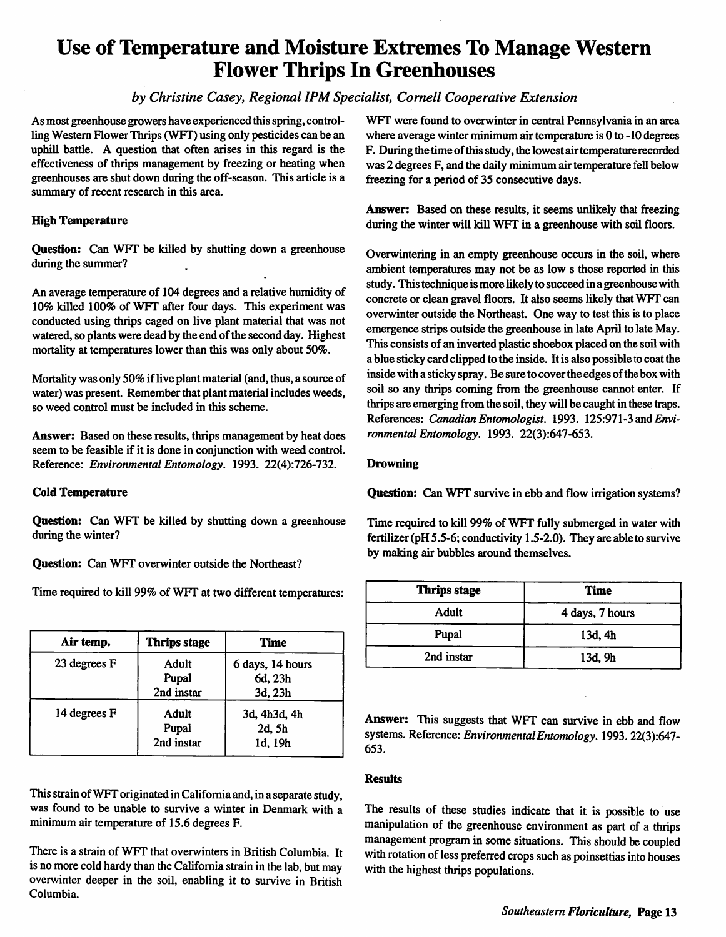## *Use of Temperature and Moisture Extremes To Manage Western Flower Thrips In Greenhouses*

## **by Christine Casey, Regional IPM Specialist, Cornell Cooperative Extension**

As most greenhouse growers have experienced this spring, control ling Western FlowerThrips (WFT) using only pesticides can be an uphill battle. A question that often arises in this regard is the effectiveness of thrips management by freezing or heating when greenhouses are shut down during the off-season. This article is a summary of recent research in this area.

### High Temperature

Question: Can WFT be killed by shutting down a greenhouse during the summer?

An average temperature of 104 degrees and a relative humidity of 10% killed 100% of WFT after four days. This experiment was conducted using thrips caged on live plant material that was not watered, so plants were dead by the end of the second day. Highest mortality at temperatures lower than this was only about 50%.

Mortality was only 50% if live plant material (and, thus, a source of water) was present. Remember that plant material includes weeds, so weed control must be included in this scheme.

Answer: Based on these results, thrips management by heat does seem to be feasible if it is done in conjunction with weed control. Reference: **Environmental Entomology.** 1993. 22(4):726-732.

#### Cold Temperature

Question: Can WFT be killed by shutting down a greenhouse during the winter?

Question: Can WFT overwinter outside the Northeast?

Time required to kill 99% of WFT at two different temperatures:

| Air temp.    | <b>Thrips stage</b>          | Time                                   |
|--------------|------------------------------|----------------------------------------|
| 23 degrees F | Adult<br>Pupal<br>2nd instar | 6 days, 14 hours<br>6d, 23h<br>3d, 23h |
| 14 degrees F | Adult<br>Pupal<br>2nd instar | 3d, 4h3d, 4h<br>2d, 5h<br>1d, 19h      |

This strain of WFT originated in California and, in a separate study, was found to be unable to survive a winter in Denmark with a minimum air temperature of 15.6 degrees F.

There is a strain of WFT that overwinters in British Columbia. It is no more cold hardy than the California strain in the lab, but may overwinter deeper in the soil, enabling it to survive in British Columbia.

WFT were found to overwinter in central Pennsylvania in an area where average winter minimum air temperature is 0 to -10 degrees F. During the time of this study, the lowest air temperature recorded was 2 degrees F, and the daily minimum air temperature fell below freezing for a period of 35 consecutive days.

Answer: Based on these results, it seems unlikely that freezing during the winter will kill WFT in a greenhouse with soil floors.

Overwintering in an empty greenhouse occurs in the soil, where ambient temperatures may not be as low s those reported in this study. This technique is more likely to succeed in a greenhouse with concrete or clean gravel floors. It also seems likely that WFT can overwinter outside the Northeast. One way to test this is to place emergence strips outside the greenhouse in late April to late May. This consists of an inverted plastic shoebox placed on the soil with a blue sticky card clipped to the inside. It is also possible to coat the inside with a sticky spray. Be sure to cover the edges of the box with soil so any thrips coming from the greenhouse cannot enter. If thrips are emerging from the soil, they will be caught in these traps. References: **CanadianEntomologist.** 1993. 125:971-3 and **Envi ronmental Entomology.** 1993. 22(3):647-653.

### Drowning

Question: Can WFT survive in ebb and flow irrigation systems?

Time required to kill 99% of WFT fully submerged in water with fertilizer (pH 5.5-6; conductivity 1.5-2.0). They are able to survive by making air bubbles around themselves.

| <b>Thrips stage</b> | Time            |
|---------------------|-----------------|
| Adult               | 4 days, 7 hours |
| Pupal               | 13d, 4h         |
| 2nd instar          | 13d, 9h         |

Answer: This suggests that WFT can survive in ebb and flow systems. Reference: **EnvironmentalEntomology.** 1993. 22(3):647- 653.

## **Results**

The results of these studies indicate that it is possible to use manipulation of the greenhouse environment as part of a thrips management program in some situations. This should be coupled with rotation of less preferred crops such as poinsettias into houses with the highest thrips populations.